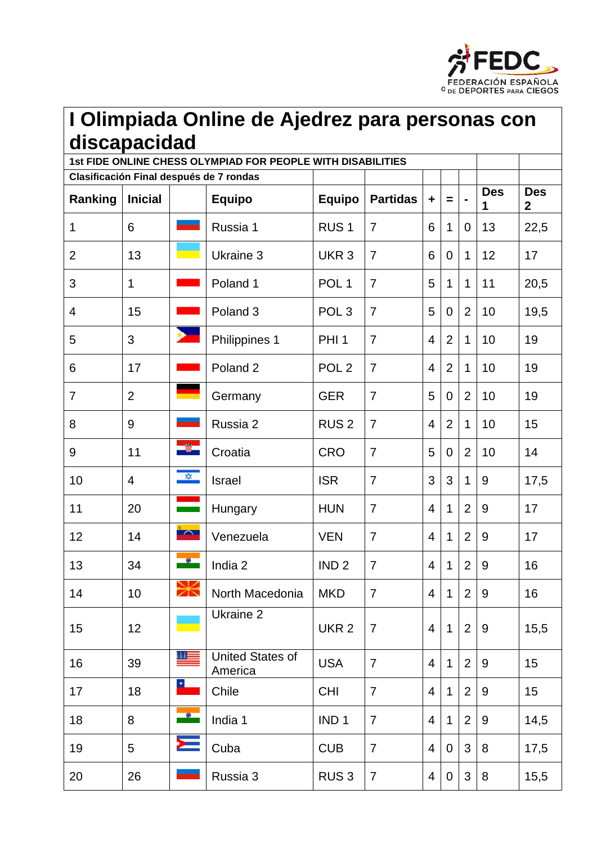

| I Olimpiada Online de Ajedrez para personas con                                                        |                |                           |                                    |                  |                 |                |                |                |                 |                            |
|--------------------------------------------------------------------------------------------------------|----------------|---------------------------|------------------------------------|------------------|-----------------|----------------|----------------|----------------|-----------------|----------------------------|
| discapacidad                                                                                           |                |                           |                                    |                  |                 |                |                |                |                 |                            |
| 1st FIDE ONLINE CHESS OLYMPIAD FOR PEOPLE WITH DISABILITIES<br>Clasificación Final después de 7 rondas |                |                           |                                    |                  |                 |                |                |                |                 |                            |
| Ranking                                                                                                | <b>Inicial</b> |                           | <b>Equipo</b>                      | <b>Equipo</b>    | <b>Partidas</b> | $\ddot{}$      | $=$            |                | <b>Des</b><br>1 | <b>Des</b><br>$\mathbf{2}$ |
| 1                                                                                                      | 6              |                           | Russia 1                           | RUS <sub>1</sub> | $\overline{7}$  | 6              | 1              | $\overline{0}$ | 13              | 22,5                       |
| 2                                                                                                      | 13             |                           | Ukraine 3                          | UKR <sub>3</sub> | $\overline{7}$  | 6              | $\mathbf 0$    | $\mathbf{1}$   | 12              | 17                         |
| 3                                                                                                      | $\mathbf{1}$   |                           | Poland 1                           | POL <sub>1</sub> | $\overline{7}$  | 5              | $\mathbf 1$    | 1              | 11              | 20,5                       |
| $\overline{4}$                                                                                         | 15             |                           | Poland <sub>3</sub>                | POL <sub>3</sub> | $\overline{7}$  | 5              | $\overline{0}$ | $\overline{2}$ | 10              | 19,5                       |
| 5                                                                                                      | 3              | ⋗                         | Philippines 1                      | PHI <sub>1</sub> | $\overline{7}$  | $\overline{4}$ | $\overline{2}$ | $\mathbf{1}$   | 10              | 19                         |
| 6                                                                                                      | 17             |                           | Poland <sub>2</sub>                | POL <sub>2</sub> | $\overline{7}$  | $\overline{4}$ | $\overline{2}$ | 1              | 10              | 19                         |
| $\overline{7}$                                                                                         | $\overline{2}$ | <b>The Second Service</b> | Germany                            | <b>GER</b>       | $\overline{7}$  | 5              | $\mathbf{0}$   | $\overline{2}$ | 10              | 19                         |
| 8                                                                                                      | 9              |                           | Russia 2                           | <b>RUS2</b>      | $\overline{7}$  | $\overline{4}$ | $\overline{2}$ | $\mathbf 1$    | 10              | 15                         |
| 9                                                                                                      | 11             | $\bullet$                 | Croatia                            | <b>CRO</b>       | $\overline{7}$  | 5              | 0              | $\overline{2}$ | 10              | 14                         |
| 10                                                                                                     | 4              | $\hat{\mathbf{x}}$        | Israel                             | <b>ISR</b>       | $\overline{7}$  | 3              | 3              | 1              | 9               | 17,5                       |
| 11                                                                                                     | 20             |                           | Hungary                            | <b>HUN</b>       | $\overline{7}$  | $\overline{4}$ | 1              | $\overline{2}$ | 9               | 17                         |
| 12                                                                                                     | 14             | $\curvearrowright$        | Venezuela                          | <b>VEN</b>       | $\overline{7}$  | $\overline{4}$ | 1              | $\overline{2}$ | 9               | 17                         |
| 13                                                                                                     | 34             | $\bullet$                 | India 2                            | IND <sub>2</sub> | $\overline{7}$  | $\overline{4}$ | $\mathbf{1}$   | $\overline{2}$ | 9               | 16                         |
| 14                                                                                                     | 10             | Ж                         | North Macedonia                    | <b>MKD</b>       | $\overline{7}$  | $\overline{4}$ | $\mathbf 1$    | $\overline{2}$ | 9               | 16                         |
| 15                                                                                                     | 12             |                           | Ukraine 2                          | UKR <sub>2</sub> | $\overline{7}$  | $\overline{4}$ | $\mathbf 1$    | $\overline{2}$ | 9               | 15,5                       |
| 16                                                                                                     | 39             | ▓▓                        | <b>United States of</b><br>America | <b>USA</b>       | $\overline{7}$  | $\overline{4}$ | $\mathbf 1$    | $\overline{2}$ | $9\,$           | 15                         |
| 17                                                                                                     | 18             | $\star$ .                 | Chile                              | <b>CHI</b>       | $\overline{7}$  | $\overline{4}$ | $\mathbf 1$    | $\overline{2}$ | 9               | 15                         |
| 18                                                                                                     | 8              | $\bullet$                 | India 1                            | IND <sub>1</sub> | $\overline{7}$  | 4              | $\mathbf 1$    | 2              | 9               | 14,5                       |
| 19                                                                                                     | 5              | $\geq$                    | Cuba                               | <b>CUB</b>       | $\overline{7}$  | 4              | $\overline{0}$ | 3              | 8               | 17,5                       |
| 20                                                                                                     | 26             |                           | Russia 3                           | RUS <sub>3</sub> | $\overline{7}$  | $\overline{4}$ | 0              | 3              | 8               | 15,5                       |

 $\mathbf{r}$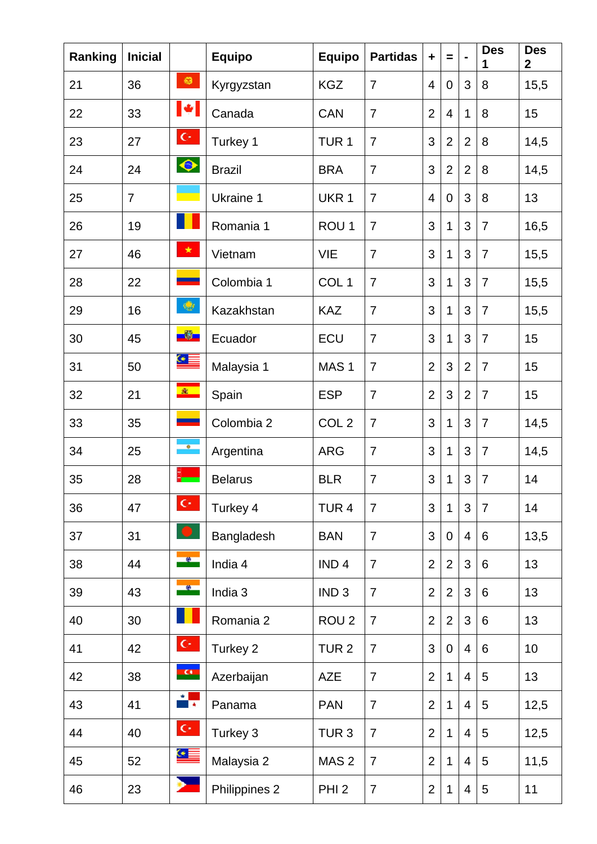| Ranking | <b>Inicial</b> |                           | <b>Equipo</b>  | <b>Equipo</b>    | <b>Partidas</b> | $\ddag$        | $=$            | $\blacksquare$ | <b>Des</b>     | <b>Des</b><br>$\mathbf{2}$ |
|---------|----------------|---------------------------|----------------|------------------|-----------------|----------------|----------------|----------------|----------------|----------------------------|
| 21      | 36             | ø                         | Kyrgyzstan     | <b>KGZ</b>       | 7               | $\overline{4}$ | 0              | 3              | 8              | 15,5                       |
| 22      | 33             | M                         | Canada         | <b>CAN</b>       | $\overline{7}$  | $\overline{2}$ | 4              | $\mathbf{1}$   | 8              | 15                         |
| 23      | 27             | $\mathbf{C}^{\mathbf{c}}$ | Turkey 1       | TUR <sub>1</sub> | 7               | 3              | $\overline{2}$ | $\overline{2}$ | 8              | 14,5                       |
| 24      | 24             | $\bullet$                 | <b>Brazil</b>  | <b>BRA</b>       | $\overline{7}$  | 3              | $\overline{2}$ | $\overline{2}$ | 8              | 14,5                       |
| 25      | $\overline{7}$ |                           | Ukraine 1      | UKR 1            | $\overline{7}$  | $\overline{4}$ | 0              | 3              | 8              | 13                         |
| 26      | 19             |                           | Romania 1      | ROU <sub>1</sub> | 7               | 3              | $\mathbf 1$    | 3              | $\overline{7}$ | 16,5                       |
| 27      | 46             | $\star$                   | Vietnam        | <b>VIE</b>       | 7               | 3              | $\mathbf 1$    | 3              | $\overline{7}$ | 15,5                       |
| 28      | 22             |                           | Colombia 1     | COL <sub>1</sub> | $\overline{7}$  | 3              | 1              | 3              | $\overline{7}$ | 15,5                       |
| 29      | 16             | ◈                         | Kazakhstan     | <b>KAZ</b>       | $\overline{7}$  | 3              | 1              | 3              | $\overline{7}$ | 15,5                       |
| 30      | 45             | <u>-0-</u>                | Ecuador        | ECU              | 7               | 3              | $\mathbf 1$    | 3              | $\overline{7}$ | 15                         |
| 31      | 50             | ⋐≣                        | Malaysia 1     | MAS <sub>1</sub> | $\overline{7}$  | $\overline{2}$ | 3              | $\overline{2}$ | $\overline{7}$ | 15                         |
| 32      | 21             | $\mathbf{R}$              | Spain          | <b>ESP</b>       | $\overline{7}$  | $\overline{2}$ | 3              | $\overline{2}$ | $\overline{7}$ | 15                         |
| 33      | 35             | المستنبذ                  | Colombia 2     | COL <sub>2</sub> | 7               | 3              | $\mathbf 1$    | 3              | $\overline{7}$ | 14,5                       |
| 34      | 25             | $\bullet$                 | Argentina      | <b>ARG</b>       | $\overline{7}$  | 3              | $\mathbf 1$    | 3              | $\overline{7}$ | 14,5                       |
| 35      | 28             | ÷                         | <b>Belarus</b> | <b>BLR</b>       | $\overline{7}$  | 3              | $\mathbf 1$    | 3              | $\overline{7}$ | 14                         |
| 36      | 47             | $\mathbf{C}^{\omega}$     | Turkey 4       | TUR <sub>4</sub> | $\overline{7}$  | 3              | $\mathbf{1}$   | $\overline{3}$ | $\overline{7}$ | 14                         |
| 37      | 31             | .,                        | Bangladesh     | <b>BAN</b>       | $\overline{7}$  | 3              | $\mathbf 0$    | $\overline{4}$ | 6              | 13,5                       |
| 38      | 44             | $\blacksquare$            | India 4        | IND <sub>4</sub> | $\overline{7}$  | $\overline{2}$ | $\overline{2}$ | 3              | 6              | 13                         |
| 39      | 43             | $\bullet$                 | India 3        | IND <sub>3</sub> | 7               | $\overline{2}$ | $\overline{2}$ | 3              | 6              | 13                         |
| 40      | 30             |                           | Romania 2      | ROU <sub>2</sub> | $\overline{7}$  | $\overline{2}$ | $\overline{2}$ | 3              | 6              | 13                         |
| 41      | 42             | $\mathbf{C}^{\omega}$     | Turkey 2       | TUR <sub>2</sub> | $\overline{7}$  | 3              | 0              | $\overline{4}$ | $6\phantom{1}$ | 10                         |
| 42      | 38             | $\overline{\mathbf{G}}$   | Azerbaijan     | <b>AZE</b>       | $\overline{7}$  | $\overline{2}$ | $\mathbf 1$    | $\overline{4}$ | 5              | 13                         |
| 43      | 41             | $\star$<br>$\overline{1}$ | Panama         | <b>PAN</b>       | $\overline{7}$  | $\overline{2}$ | $\mathbf 1$    | $\overline{4}$ | 5              | 12,5                       |
| 44      | 40             | $\mathbf{C}^*$            | Turkey 3       | TUR <sub>3</sub> | $\overline{7}$  | $\overline{2}$ | $\mathbf 1$    | $\overline{4}$ | 5              | 12,5                       |
| 45      | 52             | ⋐≣                        | Malaysia 2     | MAS <sub>2</sub> | $\overline{7}$  | $\overline{2}$ | $\mathbf 1$    | $\overline{4}$ | 5              | 11,5                       |
| 46      | 23             | ⋗.                        | Philippines 2  | PHI <sub>2</sub> | $\overline{7}$  | $\overline{2}$ | 1              | 4              | 5              | 11                         |